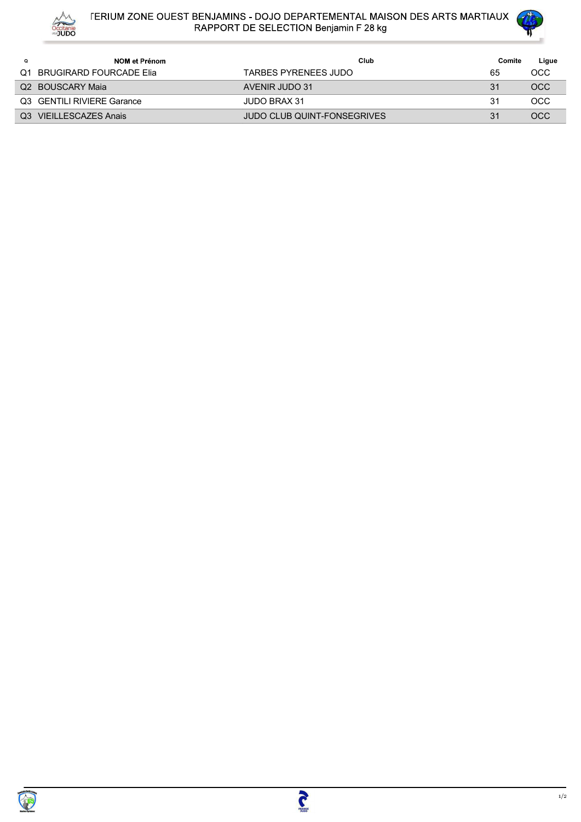

## FERIUM ZONE OUEST BENJAMINS - DOJO DEPARTEMENTAL MAISON DES ARTS MARTIAUX<br>RAPPORT DE SELECTION Benjamin F 28 kg



| Q | NOM et Prénom              | Club                        | Comite | Ligue      |
|---|----------------------------|-----------------------------|--------|------------|
|   | Q1 BRUGIRARD FOURCADE Elia | TARBES PYRENEES JUDO        | 65     | OCC        |
|   | Q2 BOUSCARY Maia           | AVENIR JUDO 31              | 31     | <b>OCC</b> |
|   | Q3 GENTILI RIVIERE Garance | JUDO BRAX 31                | 31     | OCC        |
|   | Q3 VIEILLESCAZES Anais     | JUDO CLUB QUINT-FONSEGRIVES | 31     | OCC        |

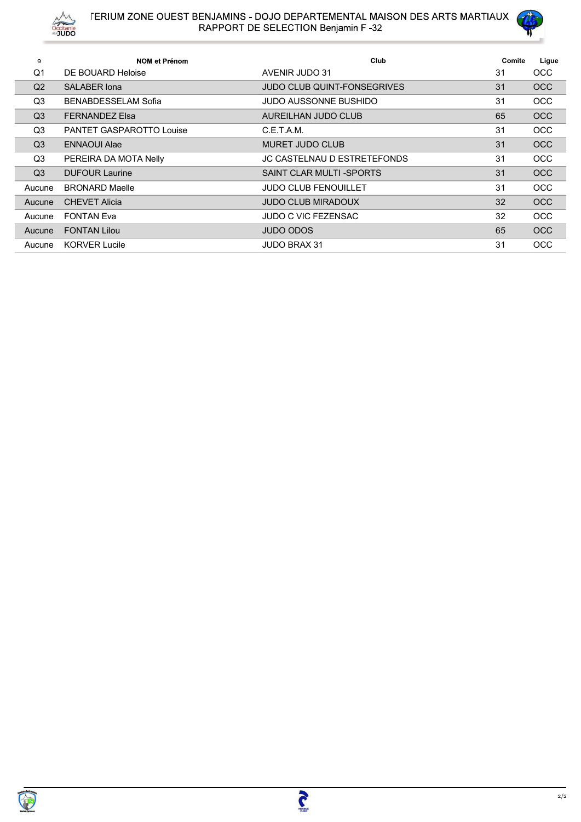



| Q              | <b>NOM et Prénom</b>       | Club                               | Comite | Ligue      |
|----------------|----------------------------|------------------------------------|--------|------------|
| Q1             | DE BOUARD Heloise          | AVENIR JUDO 31                     | 31     | <b>OCC</b> |
| Q <sub>2</sub> | <b>SALABER Iona</b>        | <b>JUDO CLUB QUINT-FONSEGRIVES</b> | 31     | <b>OCC</b> |
| Q3             | <b>BENABDESSELAM Sofia</b> | JUDO AUSSONNE BUSHIDO              | 31     | <b>OCC</b> |
| Q <sub>3</sub> | <b>FERNANDEZ Elsa</b>      | AUREILHAN JUDO CLUB                | 65     | <b>OCC</b> |
| Q3             | PANTET GASPAROTTO Louise   | C.E.T.A.M.                         | 31     | <b>OCC</b> |
| Q <sub>3</sub> | <b>ENNAOUI Alae</b>        | <b>MURET JUDO CLUB</b>             | 31     | <b>OCC</b> |
| Q3             | PEREIRA DA MOTA Nelly      | JC CASTELNAU D ESTRETEFONDS        | 31     | <b>OCC</b> |
| Q <sub>3</sub> | <b>DUFOUR Laurine</b>      | SAINT CLAR MULTI-SPORTS            | 31     | <b>OCC</b> |
| Aucune         | <b>BRONARD Maelle</b>      | <b>JUDO CLUB FENOUILLET</b>        | 31     | <b>OCC</b> |
| Aucune         | <b>CHEVET Alicia</b>       | <b>JUDO CLUB MIRADOUX</b>          | 32     | <b>OCC</b> |
| Aucune         | <b>FONTAN Eva</b>          | JUDO C VIC FEZENSAC                | 32     | <b>OCC</b> |
| Aucune         | <b>FONTAN Lilou</b>        | <b>JUDO ODOS</b>                   | 65     | <b>OCC</b> |
| Aucune         | <b>KORVER Lucile</b>       | <b>JUDO BRAX 31</b>                | 31     | <b>OCC</b> |

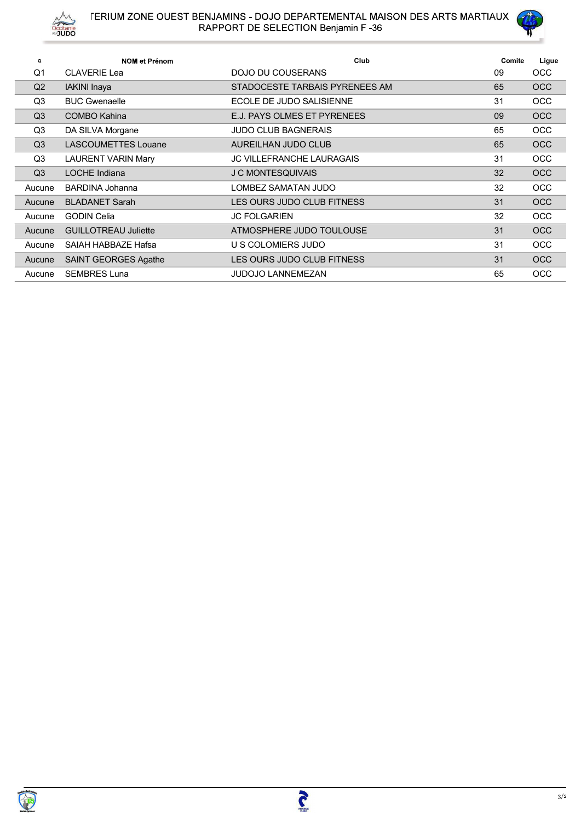



| Q              | <b>NOM et Prénom</b>        | Club                             | Comite | Ligue      |
|----------------|-----------------------------|----------------------------------|--------|------------|
| Q <sub>1</sub> | <b>CLAVERIE Lea</b>         | DOJO DU COUSERANS                | 09     | <b>OCC</b> |
| Q <sub>2</sub> | <b>IAKINI</b> Inaya         | STADOCESTE TARBAIS PYRENEES AM   | 65     | <b>OCC</b> |
| Q <sub>3</sub> | <b>BUC Gwenaelle</b>        | ECOLE DE JUDO SALISIENNE         | 31     | <b>OCC</b> |
| Q <sub>3</sub> | COMBO Kahina                | E.J. PAYS OLMES ET PYRENEES      | 09     | <b>OCC</b> |
| Q <sub>3</sub> | DA SILVA Morgane            | <b>JUDO CLUB BAGNERAIS</b>       | 65     | <b>OCC</b> |
| Q <sub>3</sub> | <b>LASCOUMETTES Louane</b>  | AUREILHAN JUDO CLUB              | 65     | <b>OCC</b> |
| Q <sub>3</sub> | <b>LAURENT VARIN Mary</b>   | <b>JC VILLEFRANCHE LAURAGAIS</b> | 31     | <b>OCC</b> |
| Q <sub>3</sub> | <b>LOCHE</b> Indiana        | <b>J C MONTESQUIVAIS</b>         | 32     | <b>OCC</b> |
| Aucune         | <b>BARDINA Johanna</b>      | LOMBEZ SAMATAN JUDO              | 32     | <b>OCC</b> |
| Aucune         | <b>BLADANET Sarah</b>       | LES OURS JUDO CLUB FITNESS       | 31     | <b>OCC</b> |
| Aucune         | <b>GODIN Celia</b>          | <b>JC FOLGARIEN</b>              | 32     | <b>OCC</b> |
| Aucune         | <b>GUILLOTREAU Juliette</b> | ATMOSPHERE JUDO TOULOUSE         | 31     | OCC        |
| Aucune         | SAIAH HABBAZE Hafsa         | U S COLOMIERS JUDO               | 31     | <b>OCC</b> |
| Aucune         | SAINT GEORGES Agathe        | LES OURS JUDO CLUB FITNESS       | 31     | <b>OCC</b> |
| Aucune         | <b>SEMBRES Luna</b>         | <b>JUDOJO LANNEMEZAN</b>         | 65     | OCC        |

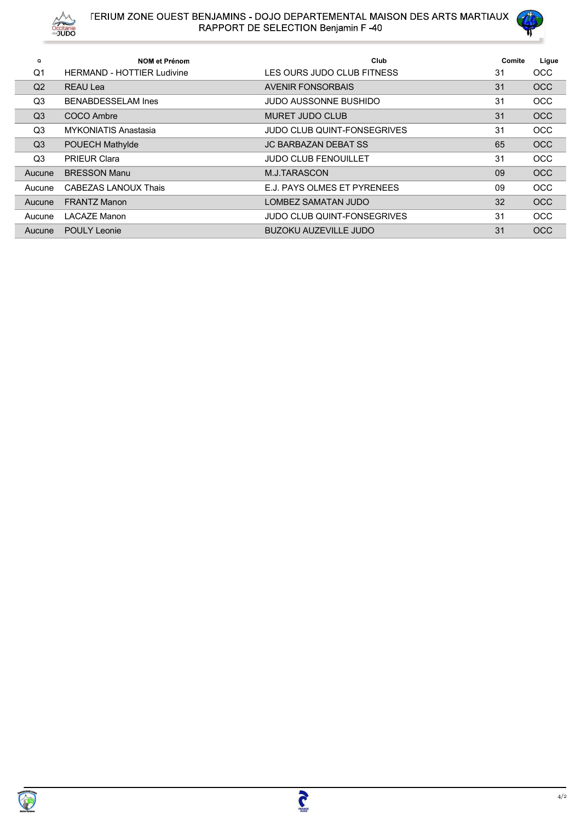



| Q              | <b>NOM et Prénom</b>              | Club                               | Comite | Ligue      |
|----------------|-----------------------------------|------------------------------------|--------|------------|
| Q <sub>1</sub> | <b>HERMAND - HOTTIER Ludivine</b> | LES OURS JUDO CLUB FITNESS         | 31     | <b>OCC</b> |
| Q <sub>2</sub> | <b>REAU Lea</b>                   | <b>AVENIR FONSORBAIS</b>           | 31     | <b>OCC</b> |
| Q3             | <b>BENABDESSELAM Ines</b>         | <b>JUDO AUSSONNE BUSHIDO</b>       | 31     | <b>OCC</b> |
| Q <sub>3</sub> | COCO Ambre                        | <b>MURET JUDO CLUB</b>             | 31     | <b>OCC</b> |
| Q3             | MYKONIATIS Anastasia              | <b>JUDO CLUB QUINT-FONSEGRIVES</b> | 31     | <b>OCC</b> |
| Q <sub>3</sub> | POUECH Mathylde                   | <b>JC BARBAZAN DEBAT SS</b>        | 65     | <b>OCC</b> |
| Q3             | <b>PRIEUR Clara</b>               | <b>JUDO CLUB FENOUILLET</b>        | 31     | <b>OCC</b> |
| Aucune         | <b>BRESSON Manu</b>               | M.J.TARASCON                       | 09     | <b>OCC</b> |
| Aucune         | <b>CABEZAS LANOUX Thais</b>       | E.J. PAYS OLMES ET PYRENEES        | 09     | <b>OCC</b> |
| Aucune         | <b>FRANTZ Manon</b>               | <b>LOMBEZ SAMATAN JUDO</b>         | 32     | <b>OCC</b> |
| Aucune         | <b>LACAZE Manon</b>               | <b>JUDO CLUB QUINT-FONSEGRIVES</b> | 31     | <b>OCC</b> |
| Aucune         | <b>POULY Leonie</b>               | <b>BUZOKU AUZEVILLE JUDO</b>       | 31     | <b>OCC</b> |

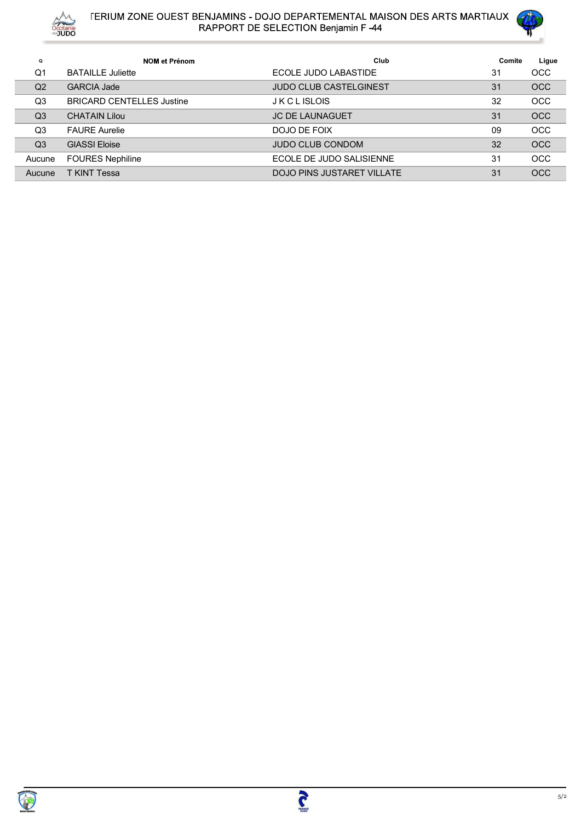



|                |                                  |                                    | <b>TERIUM ZONE OUEST BENJAMINS - DOJO DEPARTEMENTAL MAISON DES ARTS MARTIAUX</b> |       |
|----------------|----------------------------------|------------------------------------|----------------------------------------------------------------------------------|-------|
|                | Occitanie                        | RAPPORT DE SELECTION Benjamin F-44 |                                                                                  |       |
| $\mathbf Q$    | NOM et Prénom                    | Club                               | Comite                                                                           | Ligue |
| Q <sub>1</sub> | <b>BATAILLE Juliette</b>         | ECOLE JUDO LABASTIDE               | 31                                                                               | OCC   |
| Q2             | <b>GARCIA Jade</b>               | JUDO CLUB CASTELGINEST             | 31                                                                               | OCC   |
| Q3             | <b>BRICARD CENTELLES Justine</b> | <b>JKCLISLOIS</b>                  | 32                                                                               | OCC   |
| Q3             | <b>CHATAIN Lilou</b>             | JC DE LAUNAGUET                    | 31                                                                               | OCC   |
| Q3             | <b>FAURE Aurelie</b>             | DOJO DE FOIX                       | 09                                                                               | OCC   |
| Q3             | <b>GIASSI Eloise</b>             | JUDO CLUB CONDOM                   | 32                                                                               | OCC   |
| Aucune         | <b>FOURES Nephiline</b>          | ECOLE DE JUDO SALISIENNE           | 31                                                                               | OCC   |
| Aucune         | T KINT Tessa                     | DOJO PINS JUSTARET VILLATE         | 31                                                                               | OCC   |
|                |                                  |                                    |                                                                                  |       |
|                |                                  |                                    |                                                                                  |       |
|                |                                  |                                    |                                                                                  |       |

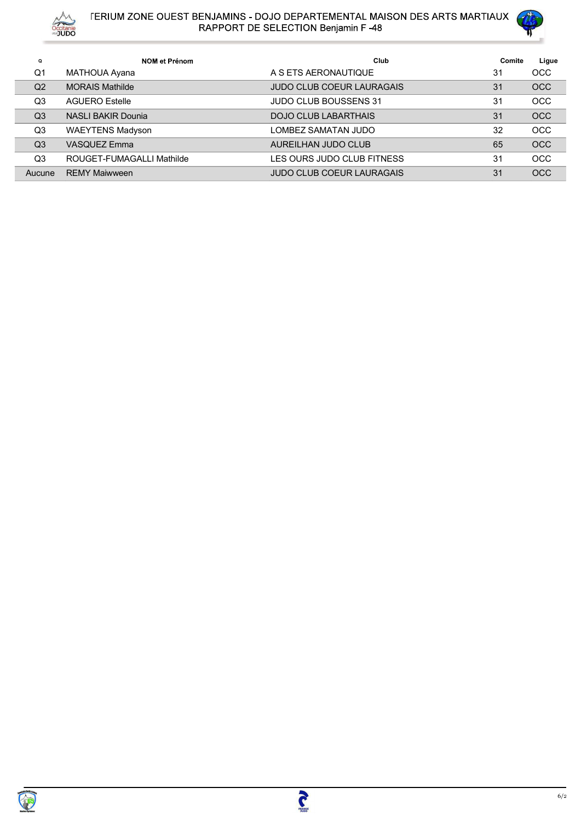



| Q              | <b>NOM et Prénom</b>      | Club                             | Comite | Ligue      |
|----------------|---------------------------|----------------------------------|--------|------------|
| Q1             | MATHOUA Ayana             | A S ETS AERONAUTIQUE             | 31     | <b>OCC</b> |
| Q <sub>2</sub> | <b>MORAIS Mathilde</b>    | <b>JUDO CLUB COEUR LAURAGAIS</b> | 31     | <b>OCC</b> |
| Q <sub>3</sub> | <b>AGUERO Estelle</b>     | <b>JUDO CLUB BOUSSENS 31</b>     | 31     | <b>OCC</b> |
| Q <sub>3</sub> | <b>NASLI BAKIR Dounia</b> | <b>DOJO CLUB LABARTHAIS</b>      | 31     | <b>OCC</b> |
| Q <sub>3</sub> | <b>WAEYTENS Madyson</b>   | LOMBEZ SAMATAN JUDO              | 32     | <b>OCC</b> |
| Q <sub>3</sub> | <b>VASQUEZ Emma</b>       | AUREILHAN JUDO CLUB              | 65     | <b>OCC</b> |
| Q <sub>3</sub> | ROUGET-FUMAGALLI Mathilde | LES OURS JUDO CLUB FITNESS       | 31     | <b>OCC</b> |
| Aucune         | <b>REMY Maiwween</b>      | <b>JUDO CLUB COEUR LAURAGAIS</b> | 31     | <b>OCC</b> |

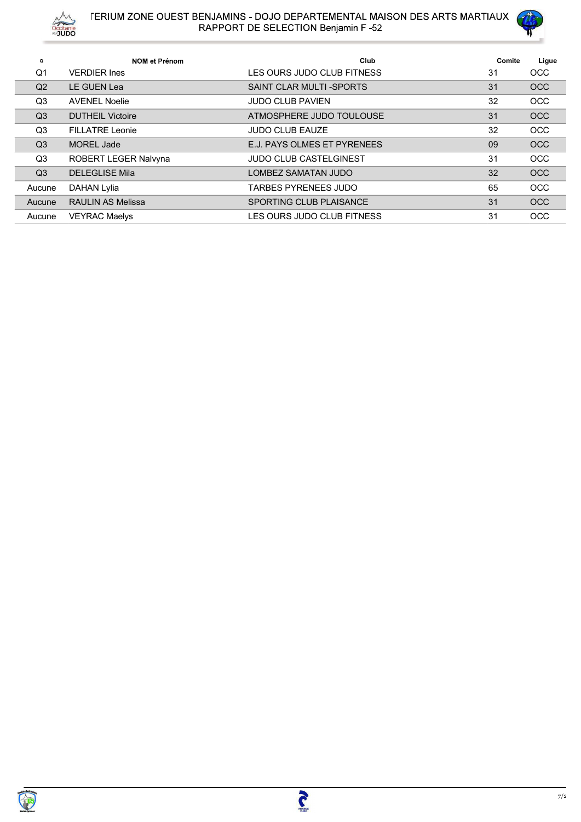



| $\mathbf Q$    | <b>NOM et Prénom</b>     | Club                           | Comite | Ligue      |
|----------------|--------------------------|--------------------------------|--------|------------|
| Q <sub>1</sub> | <b>VERDIER Ines</b>      | LES OURS JUDO CLUB FITNESS     | 31     | <b>OCC</b> |
| Q <sub>2</sub> | LE GUEN Lea              | SAINT CLAR MULTI-SPORTS        | 31     | <b>OCC</b> |
| Q3             | <b>AVENEL Noelie</b>     | <b>JUDO CLUB PAVIEN</b>        | 32     | <b>OCC</b> |
| Q <sub>3</sub> | <b>DUTHEIL Victoire</b>  | ATMOSPHERE JUDO TOULOUSE       | 31     | <b>OCC</b> |
| Q3             | <b>FILLATRE Leonie</b>   | <b>JUDO CLUB EAUZE</b>         | 32     | <b>OCC</b> |
| Q <sub>3</sub> | <b>MOREL Jade</b>        | E.J. PAYS OLMES ET PYRENEES    | 09     | <b>OCC</b> |
| Q3             | ROBERT LEGER Nalvyna     | <b>JUDO CLUB CASTELGINEST</b>  | 31     | <b>OCC</b> |
| Q <sub>3</sub> | <b>DELEGLISE Mila</b>    | LOMBEZ SAMATAN JUDO            | 32     | <b>OCC</b> |
| Aucune         | <b>DAHAN Lylia</b>       | TARBES PYRENEES JUDO           | 65     | <b>OCC</b> |
| Aucune         | <b>RAULIN AS Melissa</b> | <b>SPORTING CLUB PLAISANCE</b> | 31     | <b>OCC</b> |
| Aucune         | <b>VEYRAC Maelys</b>     | LES OURS JUDO CLUB FITNESS     | 31     | <b>OCC</b> |

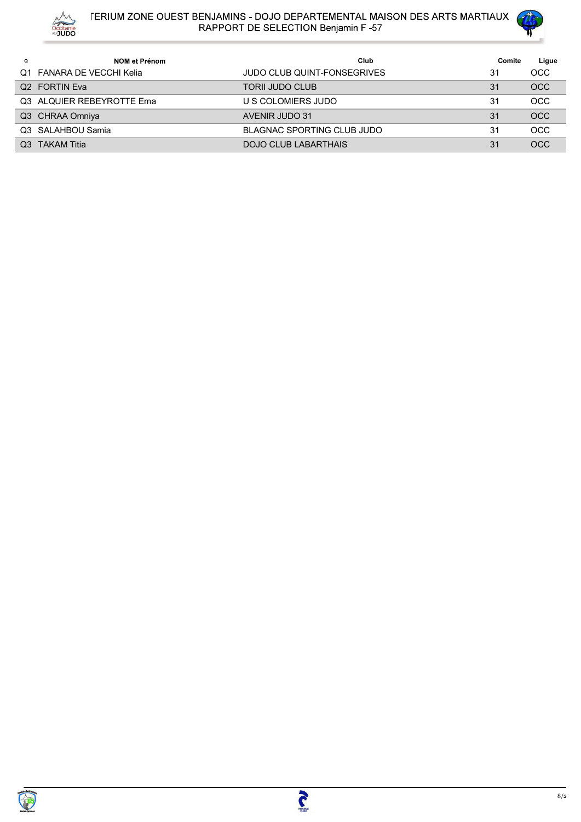



| Q | NOM et Prénom             | Club                               | Comite | Ligue      |
|---|---------------------------|------------------------------------|--------|------------|
|   | Q1 FANARA DE VECCHI Kelia | <b>JUDO CLUB QUINT-FONSEGRIVES</b> | 31     | <b>OCC</b> |
|   | Q <sub>2</sub> FORTIN Eva | <b>TORII JUDO CLUB</b>             | 31     | <b>OCC</b> |
|   | Q3 ALQUIER REBEYROTTE Ema | U S COLOMIERS JUDO                 | 31     | <b>OCC</b> |
|   | Q3 CHRAA Omniya           | AVENIR JUDO 31                     | 31     | <b>OCC</b> |
|   | Q3 SALAHBOU Samia         | BLAGNAC SPORTING CLUB JUDO         | 31     | <b>OCC</b> |
|   | Q3 TAKAM Titia            | DOJO CLUB LABARTHAIS               | 31     | <b>OCC</b> |

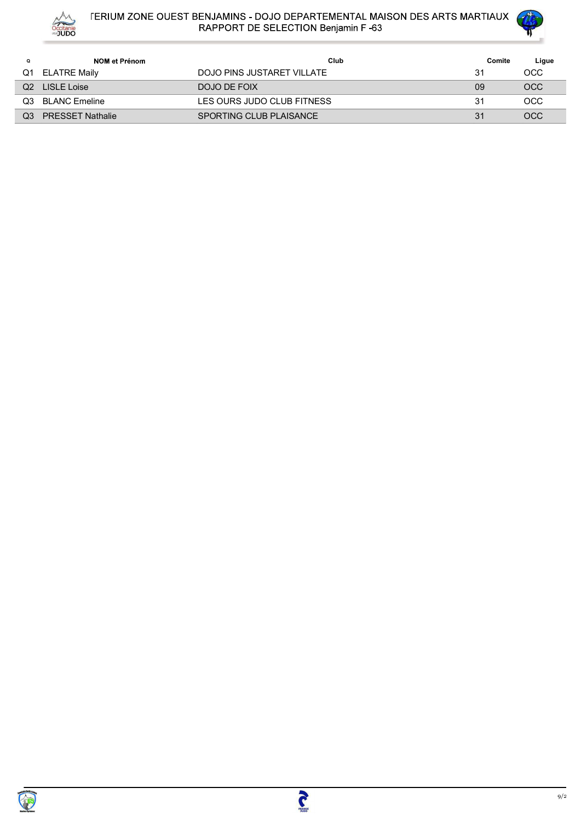



| Q   | NOM et Prénom           | Club                       | Comite | Ligue      |
|-----|-------------------------|----------------------------|--------|------------|
| Q1  | <b>ELATRE Maily</b>     | DOJO PINS JUSTARET VILLATE | 31     | OCC.       |
| Q2  | LISLE Loise             | DOJO DE FOIX               | 09     | <b>OCC</b> |
| Q3. | <b>BLANC Emeline</b>    | LES OURS JUDO CLUB FITNESS | 31     | OCC.       |
| O3  | <b>PRESSET Nathalie</b> | SPORTING CLUB PLAISANCE    | 31     | <b>OCC</b> |

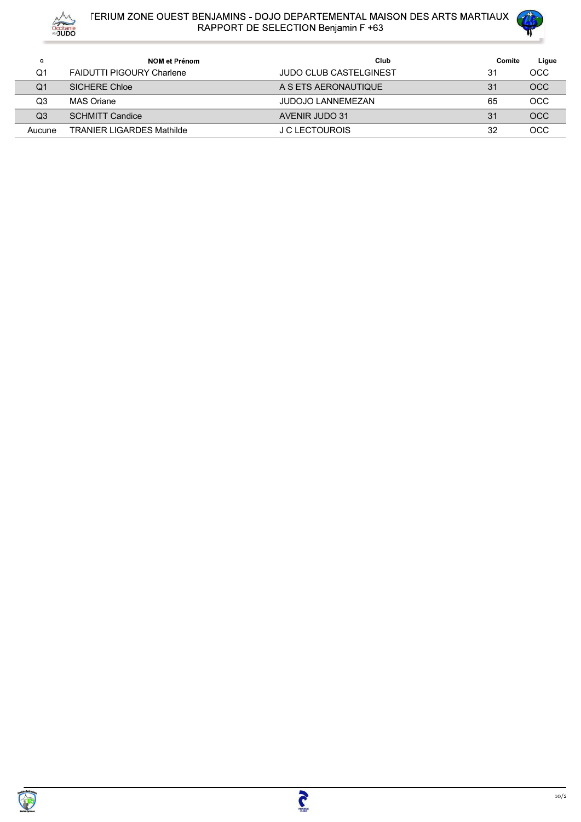



| Q      | NOM et Prénom                    | Club                          | Comite | Ligue      |
|--------|----------------------------------|-------------------------------|--------|------------|
| Q1     | <b>FAIDUTTI PIGOURY Charlene</b> | <b>JUDO CLUB CASTELGINEST</b> | 31     | <b>OCC</b> |
| Q1     | <b>SICHERE Chloe</b>             | A S ETS AERONAUTIQUE          | 31     | <b>OCC</b> |
| Q3     | MAS Oriane                       | <b>JUDOJO LANNEMEZAN</b>      | 65     | <b>OCC</b> |
| Q3     | <b>SCHMITT Candice</b>           | AVENIR JUDO 31                | 31     | <b>OCC</b> |
| Aucune | <b>TRANIER LIGARDES Mathilde</b> | J C LECTOUROIS                | 32     | OCC        |

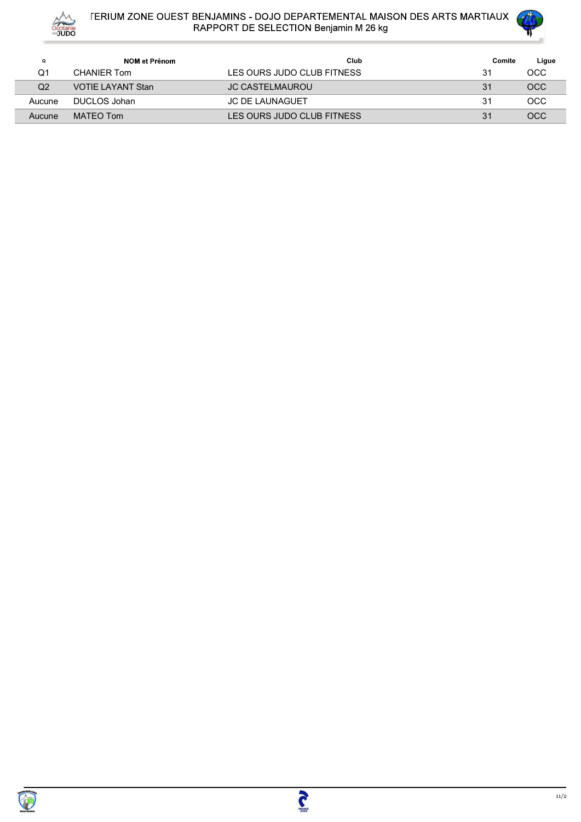



| A <sup>M</sup> |                          | <b>TERIUM ZONE OUEST BENJAMINS - DOJO DEPARTEMENTAL MAISON DES ARTS MARTIAUX</b> |        | Com          |
|----------------|--------------------------|----------------------------------------------------------------------------------|--------|--------------|
| Occitanie      |                          | RAPPORT DE SELECTION Benjamin M 26 kg                                            |        |              |
| $\mathbf Q$    | NOM et Prénom            | Club                                                                             | Comite |              |
| Q <sub>1</sub> | <b>CHANIER Tom</b>       | LES OURS JUDO CLUB FITNESS                                                       | 31     | OCC          |
| Q2             | <b>VOTIE LAYANT Stan</b> | JC CASTELMAUROU                                                                  | 31     | OCC          |
| Aucune         | <b>DUCLOS Johan</b>      | JC DE LAUNAGUET                                                                  | 31     | OCC          |
| Aucune         | <b>MATEO Tom</b>         | LES OURS JUDO CLUB FITNESS                                                       | 31     | Ligue<br>OCC |
|                |                          |                                                                                  |        |              |
|                |                          |                                                                                  |        |              |
|                |                          |                                                                                  |        |              |

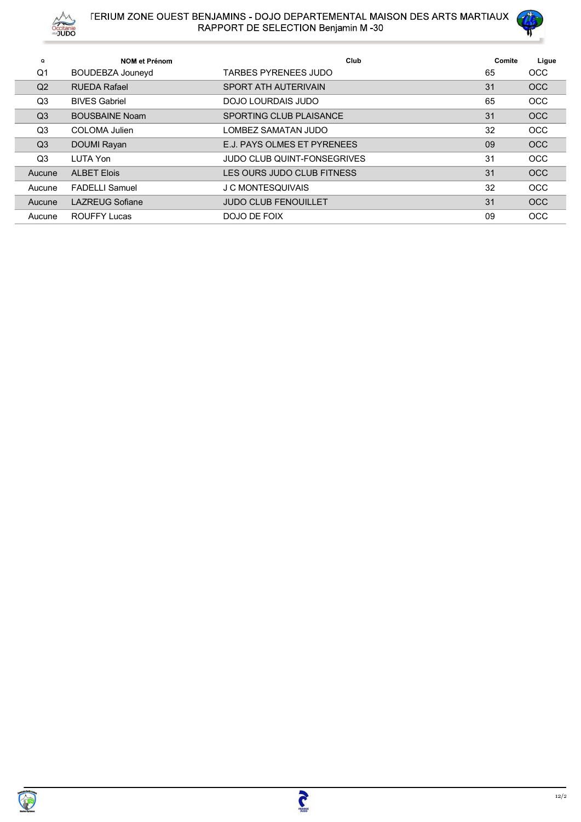



| Q              | <b>NOM et Prénom</b>   | Club                               | Comite | Ligue      |
|----------------|------------------------|------------------------------------|--------|------------|
| Q1             | BOUDEBZA Jouneyd       | TARBES PYRENEES JUDO               | 65     | <b>OCC</b> |
| Q2             | <b>RUEDA Rafael</b>    | SPORT ATH AUTERIVAIN               | 31     | <b>OCC</b> |
| Q <sub>3</sub> | <b>BIVES Gabriel</b>   | DOJO LOURDAIS JUDO                 | 65     | <b>OCC</b> |
| Q <sub>3</sub> | <b>BOUSBAINE Noam</b>  | SPORTING CLUB PLAISANCE            | 31     | <b>OCC</b> |
| Q <sub>3</sub> | COLOMA Julien          | LOMBEZ SAMATAN JUDO                | 32     | <b>OCC</b> |
| Q <sub>3</sub> | DOUMI Rayan            | E.J. PAYS OLMES ET PYRENEES        | 09     | <b>OCC</b> |
| Q <sub>3</sub> | LUTA Yon               | <b>JUDO CLUB QUINT-FONSEGRIVES</b> | 31     | <b>OCC</b> |
| Aucune         | <b>ALBET Elois</b>     | LES OURS JUDO CLUB FITNESS         | 31     | <b>OCC</b> |
| Aucune         | <b>FADELLI Samuel</b>  | J C MONTESQUIVAIS                  | 32     | <b>OCC</b> |
| Aucune         | <b>LAZREUG Sofiane</b> | <b>JUDO CLUB FENOUILLET</b>        | 31     | <b>OCC</b> |
| Aucune         | <b>ROUFFY Lucas</b>    | DOJO DE FOIX                       | 09     | <b>OCC</b> |

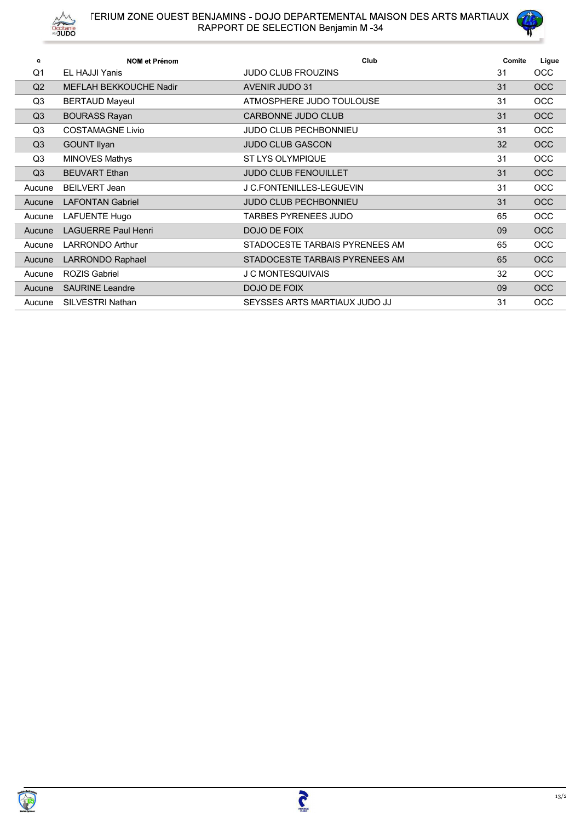



|                     | A/V<br>Occitanie<br>"JUDO                         | <b>FERIUM ZONE OUEST BENJAMINS - DOJO DEPARTEMENTAL MAISON DES ARTS MARTIAUX</b><br>RAPPORT DE SELECTION Benjamin M-34 |              |              |
|---------------------|---------------------------------------------------|------------------------------------------------------------------------------------------------------------------------|--------------|--------------|
|                     |                                                   |                                                                                                                        |              |              |
|                     | NOM et Prénom                                     | Club                                                                                                                   |              |              |
| Q<br>Q <sub>1</sub> | EL HAJJI Yanis                                    | JUDO CLUB FROUZINS                                                                                                     | Comite<br>31 | Ligue<br>OCC |
|                     | MEFLAH BEKKOUCHE Nadir                            | <b>AVENIR JUDO 31</b>                                                                                                  | 31           | OCC          |
|                     |                                                   |                                                                                                                        |              |              |
| Q2                  |                                                   |                                                                                                                        |              |              |
| Q <sub>3</sub>      | <b>BERTAUD Mayeul</b>                             | ATMOSPHERE JUDO TOULOUSE                                                                                               | 31           | OCC          |
| Q3                  | <b>BOURASS Rayan</b>                              | CARBONNE JUDO CLUB                                                                                                     | 31           | OCC          |
| Q3                  | <b>COSTAMAGNE Livio</b>                           | JUDO CLUB PECHBONNIEU                                                                                                  | 31           | OCC          |
| Q3                  | <b>GOUNT Ilyan</b>                                | JUDO CLUB GASCON                                                                                                       | 32           | OCC          |
| Q3                  | <b>MINOVES Mathys</b>                             | ST LYS OLYMPIQUE                                                                                                       | 31           | OCC          |
| Q3                  | <b>BEUVART Ethan</b>                              | JUDO CLUB FENOUILLET                                                                                                   | 31           | OCC          |
| Aucune              | <b>BEILVERT Jean</b>                              | J C.FONTENILLES-LEGUEVIN                                                                                               | 31           | OCC          |
| Aucune              | <b>LAFONTAN Gabriel</b>                           | JUDO CLUB PECHBONNIEU                                                                                                  | 31           | OCC          |
| Aucune              | LAFUENTE Hugo                                     | TARBES PYRENEES JUDO                                                                                                   | 65           | OCC          |
|                     | Aucune LAGUERRE Paul Henri                        | DOJO DE FOIX                                                                                                           | 09           | OCC          |
|                     | Aucune LARRONDO Arthur                            | STADOCESTE TARBAIS PYRENEES AM                                                                                         | 65           | OCC.         |
|                     | Aucune LARRONDO Raphael                           | STADOCESTE TARBAIS PYRENEES AM                                                                                         | 65           | OCC          |
|                     | Aucune ROZIS Gabriel                              | J C MONTESQUIVAIS                                                                                                      | 32           | OCC          |
|                     | Aucune SAURINE Leandre<br>Aucune SILVESTRI Nathan | DOJO DE FOIX<br>SEYSSES ARTS MARTIAUX JUDO JJ                                                                          | 09<br>31     | OCC<br>OCC   |

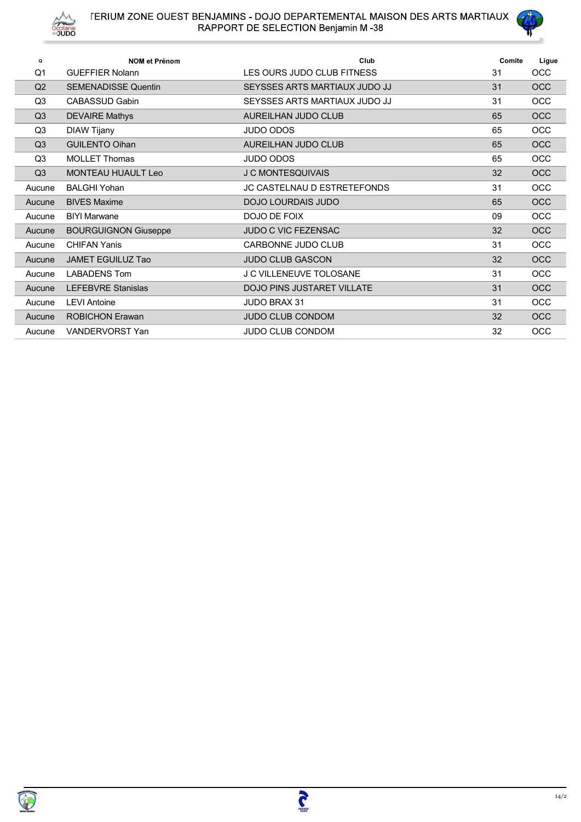



| Q              | <b>NOM et Prénom</b>        | Club                               | Comite | Ligue      |
|----------------|-----------------------------|------------------------------------|--------|------------|
| Q <sub>1</sub> | <b>GUEFFIER Nolann</b>      | LES OURS JUDO CLUB FITNESS         | 31     | <b>OCC</b> |
| Q <sub>2</sub> | <b>SEMENADISSE Quentin</b>  | SEYSSES ARTS MARTIAUX JUDO JJ      | 31     | <b>OCC</b> |
| Q <sub>3</sub> | CABASSUD Gabin              | SEYSSES ARTS MARTIAUX JUDO JJ      | 31     | <b>OCC</b> |
| Q <sub>3</sub> | <b>DEVAIRE Mathys</b>       | AUREILHAN JUDO CLUB                | 65     | <b>OCC</b> |
| Q <sub>3</sub> | DIAW Tijany                 | <b>JUDO ODOS</b>                   | 65     | <b>OCC</b> |
| Q <sub>3</sub> | <b>GUILENTO Oihan</b>       | AUREILHAN JUDO CLUB                | 65     | <b>OCC</b> |
| Q <sub>3</sub> | <b>MOLLET Thomas</b>        | <b>JUDO ODOS</b>                   | 65     | <b>OCC</b> |
| Q <sub>3</sub> | <b>MONTEAU HUAULT Leo</b>   | <b>J C MONTESQUIVAIS</b>           | 32     | <b>OCC</b> |
| Aucune         | <b>BALGHI Yohan</b>         | <b>JC CASTELNAU D ESTRETEFONDS</b> | 31     | <b>OCC</b> |
| Aucune         | <b>BIVES Maxime</b>         | DOJO LOURDAIS JUDO                 | 65     | OCC        |
| Aucune         | <b>BIYI Marwane</b>         | DOJO DE FOIX                       | 09     | OCC        |
| Aucune         | <b>BOURGUIGNON Giuseppe</b> | <b>JUDO C VIC FEZENSAC</b>         | 32     | <b>OCC</b> |
| Aucune         | <b>CHIFAN Yanis</b>         | CARBONNE JUDO CLUB                 | 31     | <b>OCC</b> |
| Aucune         | <b>JAMET EGUILUZ Tao</b>    | <b>JUDO CLUB GASCON</b>            | 32     | OCC        |
| Aucune         | <b>LABADENS Tom</b>         | <b>J C VILLENEUVE TOLOSANE</b>     | 31     | <b>OCC</b> |
| Aucune         | <b>LEFEBVRE Stanislas</b>   | DOJO PINS JUSTARET VILLATE         | 31     | <b>OCC</b> |
| Aucune         | <b>LEVI Antoine</b>         | <b>JUDO BRAX 31</b>                | 31     | <b>OCC</b> |
| Aucune         | <b>ROBICHON Erawan</b>      | <b>JUDO CLUB CONDOM</b>            | 32     | OCC        |
| Aucune         | VANDERVORST Yan             | JUDO CLUB CONDOM                   | 32     | OCC        |

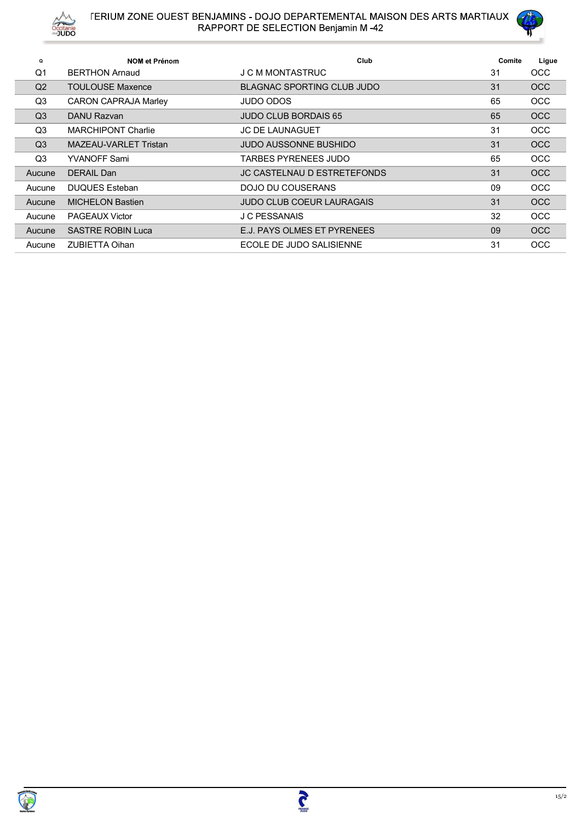



| $\Omega$       | <b>NOM et Prénom</b>        | Club                             | Comite | Ligue      |
|----------------|-----------------------------|----------------------------------|--------|------------|
| $\Omega$ 1     | <b>BERTHON Arnaud</b>       | J C M MONTASTRUC                 | 31     | <b>OCC</b> |
| Q2             | <b>TOULOUSE Maxence</b>     | BLAGNAC SPORTING CLUB JUDO       | 31     | <b>OCC</b> |
| Q <sub>3</sub> | <b>CARON CAPRAJA Marley</b> | JUDO ODOS                        | 65     | <b>OCC</b> |
| Q <sub>3</sub> | DANU Razvan                 | <b>JUDO CLUB BORDAIS 65</b>      | 65     | <b>OCC</b> |
| Q <sub>3</sub> | <b>MARCHIPONT Charlie</b>   | <b>JC DE LAUNAGUET</b>           | 31     | <b>OCC</b> |
| Q <sub>3</sub> | MAZEAU-VARLET Tristan       | JUDO AUSSONNE BUSHIDO            | 31     | <b>OCC</b> |
| Q <sub>3</sub> | <b>YVANOFF Sami</b>         | TARBES PYRENEES JUDO             | 65     | <b>OCC</b> |
| Aucune         | DERAIL Dan                  | JC CASTELNAU D ESTRETEFONDS      | 31     | <b>OCC</b> |
| Aucune         | <b>DUQUES Esteban</b>       | DOJO DU COUSERANS                | 09     | <b>OCC</b> |
| Aucune         | <b>MICHELON Bastien</b>     | <b>JUDO CLUB COEUR LAURAGAIS</b> | 31     | <b>OCC</b> |
| Aucune         | <b>PAGEAUX Victor</b>       | J C PESSANAIS                    | 32     | <b>OCC</b> |
| Aucune         | <b>SASTRE ROBIN Luca</b>    | E.J. PAYS OLMES ET PYRENEES      | 09     | <b>OCC</b> |
| Aucune         | <b>ZUBIETTA Oihan</b>       | ECOLE DE JUDO SALISIENNE         | 31     | <b>OCC</b> |

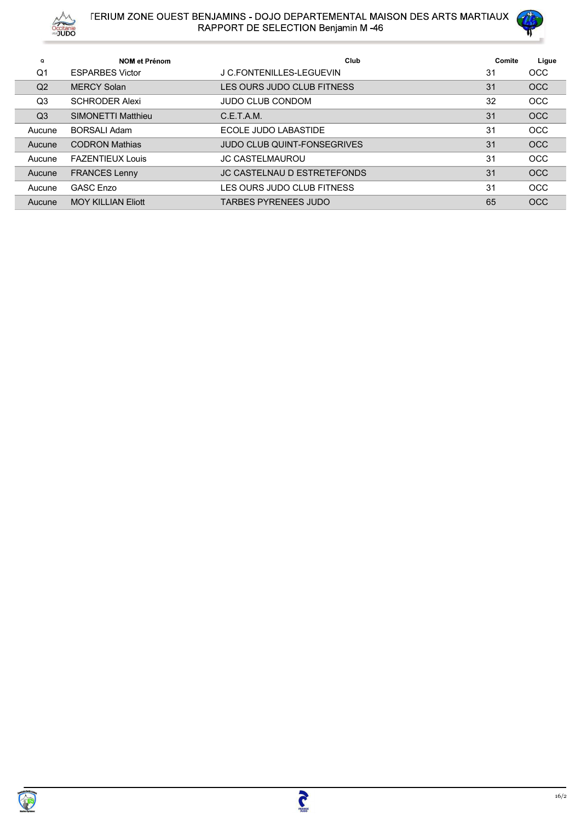



| $\Omega$       | <b>NOM et Prénom</b>   | Club                               | Comite | Ligue      |
|----------------|------------------------|------------------------------------|--------|------------|
| O <sub>1</sub> | <b>ESPARBES Victor</b> | J C.FONTENILLES-LEGUEVIN           | 31     | <b>OCC</b> |
| Q <sub>2</sub> | <b>MERCY Solan</b>     | LES OURS JUDO CLUB FITNESS         | 31     | <b>OCC</b> |
| Q <sub>3</sub> | <b>SCHRODER Alexi</b>  | <b>JUDO CLUB CONDOM</b>            | 32     | <b>OCC</b> |
| Q <sub>3</sub> | SIMONETTI Matthieu     | C.E.T.A.M.                         | 31     | <b>OCC</b> |
| Aucune         | BORSALL Adam           | ECOLE JUDO LABASTIDE               | 31     | <b>OCC</b> |
| Aucune         | <b>CODRON Mathias</b>  | <b>JUDO CLUB QUINT-FONSEGRIVES</b> | 31     | OCC        |
| Aucune         | FAZENTIFUX Louis       | <b>JC CASTELMAUROU</b>             | 31     | <b>OCC</b> |
| Aucune         | <b>FRANCES Lenny</b>   | <b>JC CASTELNAU D ESTRETEFONDS</b> | 31     | <b>OCC</b> |
| Aucune         | <b>GASC Enzo</b>       | LES OURS JUDO CLUB FITNESS         | 31     | <b>OCC</b> |
| Aucune         | MOY KILLIAN Fliott     | TARBES PYRENEES JUDO               | 65     | <b>OCC</b> |

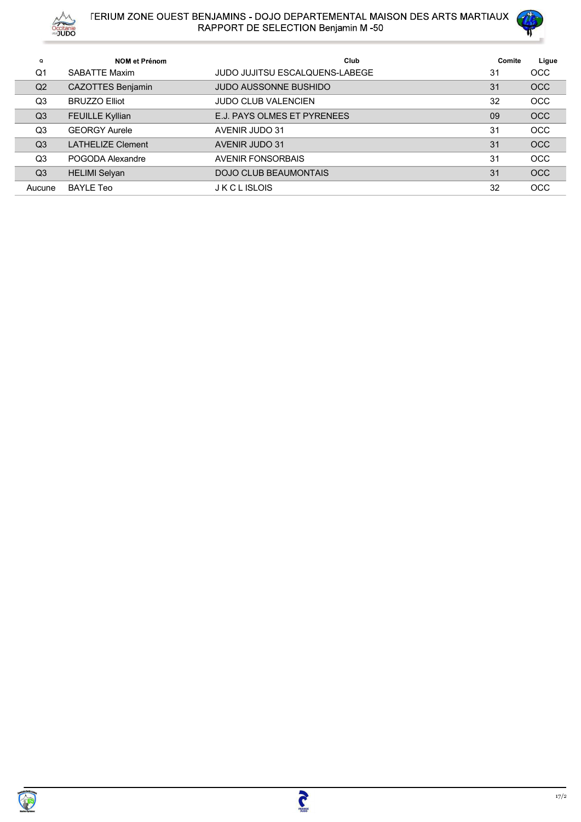



| $\mathbf Q$    | NOM et Prénom            | Club                                  | Comite | Ligue      |
|----------------|--------------------------|---------------------------------------|--------|------------|
| Q <sub>1</sub> | SABATTF Maxim            | <b>JUDO JUJITSU ESCALQUENS-LABEGE</b> | 31     | <b>OCC</b> |
| Q <sub>2</sub> | <b>CAZOTTES Benjamin</b> | <b>JUDO AUSSONNE BUSHIDO</b>          | 31     | <b>OCC</b> |
| Q3             | <b>BRUZZO Elliot</b>     | <b>JUDO CLUB VALENCIEN</b>            | 32     | <b>OCC</b> |
| Q <sub>3</sub> | <b>FEUILLE Kyllian</b>   | E.J. PAYS OLMES ET PYRENEES           | 09     | <b>OCC</b> |
| Q3             | <b>GEORGY Aurele</b>     | AVENIR JUDO 31                        | 31     | <b>OCC</b> |
| Q <sub>3</sub> | I ATHFI IZF Clement      | AVENIR JUDO 31                        | 31     | <b>OCC</b> |
| Q <sub>3</sub> | POGODA Alexandre         | <b>AVENIR FONSORBAIS</b>              | 31     | OCC        |
| Q <sub>3</sub> | <b>HELIMI Selyan</b>     | <b>DOJO CLUB BEAUMONTAIS</b>          | 31     | <b>OCC</b> |
| Aucune         | <b>BAYLE Teo</b>         | <b>JKCLISLOIS</b>                     | 32     | OCC        |



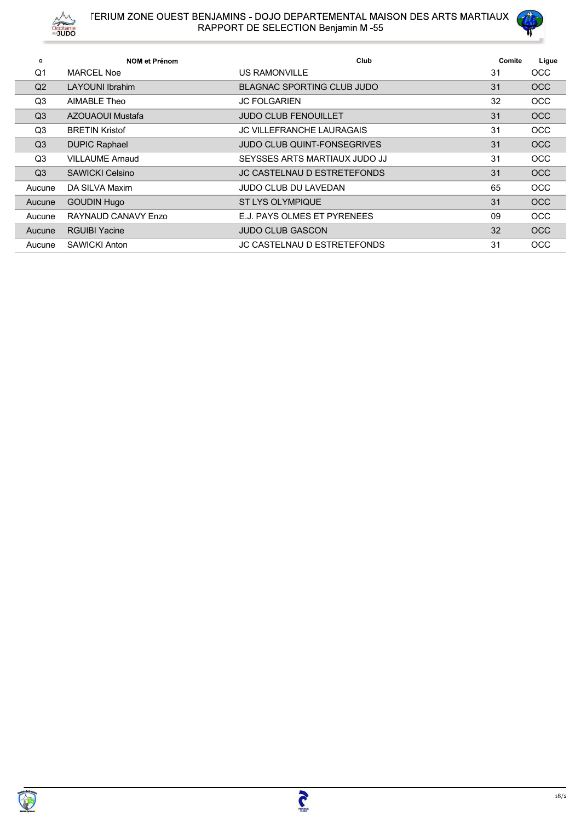



| $\mathbf Q$    | <b>NOM et Prénom</b>   | Club                               | Comite | Ligue      |
|----------------|------------------------|------------------------------------|--------|------------|
| Q1             | <b>MARCEL Noe</b>      | US RAMONVILLE                      | 31     | <b>OCC</b> |
| Q2             | LAYOUNI Ibrahim        | BLAGNAC SPORTING CLUB JUDO         | 31     | <b>OCC</b> |
| Q <sub>3</sub> | AIMABLE Theo           | <b>JC FOLGARIEN</b>                | 32     | <b>OCC</b> |
| Q <sub>3</sub> | AZOUAOUI Mustafa       | <b>JUDO CLUB FENOUILLET</b>        | 31     | <b>OCC</b> |
| Q3             | <b>BRETIN Kristof</b>  | <b>JC VILLEFRANCHE LAURAGAIS</b>   | 31     | <b>OCC</b> |
| Q3             | <b>DUPIC Raphael</b>   | <b>JUDO CLUB QUINT-FONSEGRIVES</b> | 31     | <b>OCC</b> |
| Q3             | <b>VILLAUME Arnaud</b> | SEYSSES ARTS MARTIAUX JUDO JJ      | 31     | <b>OCC</b> |
| Q <sub>3</sub> | <b>SAWICKI Celsino</b> | JC CASTELNAU D ESTRETEFONDS        | 31     | <b>OCC</b> |
| Aucune         | DA SILVA Maxim         | <b>JUDO CLUB DU LAVEDAN</b>        | 65     | <b>OCC</b> |
| Aucune         | <b>GOUDIN Hugo</b>     | <b>ST LYS OLYMPIQUE</b>            | 31     | <b>OCC</b> |
| Aucune         | RAYNAUD CANAVY Enzo    | E.J. PAYS OLMES ET PYRENEES        | 09     | <b>OCC</b> |
| Aucune         | <b>RGUIBI Yacine</b>   | <b>JUDO CLUB GASCON</b>            | 32     | <b>OCC</b> |
| Aucune         | <b>SAWICKI Anton</b>   | <b>JC CASTELNAU D ESTRETEFONDS</b> | 31     | <b>OCC</b> |

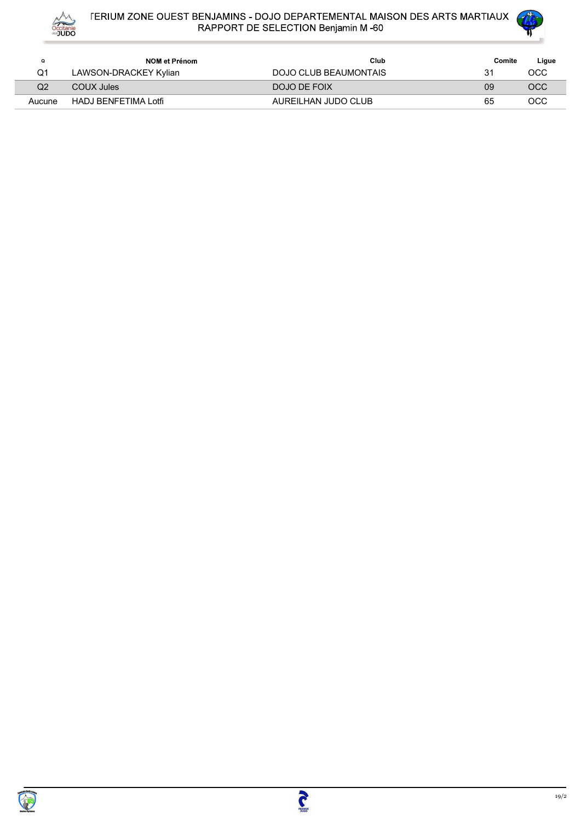



| O      | NOM et Prénom         | Club                  | Comite | Ligue |
|--------|-----------------------|-----------------------|--------|-------|
|        | LAWSON-DRACKEY Kylian | DOJO CLUB BEAUMONTAIS | 31     | осс   |
| Q2     | COUX Jules            | DOJO DE FOIX          | 09     | OCC   |
| Aucune | HADJ BENFETIMA Lotfi  | AUREILHAN JUDO CLUB   | 65     | осс   |

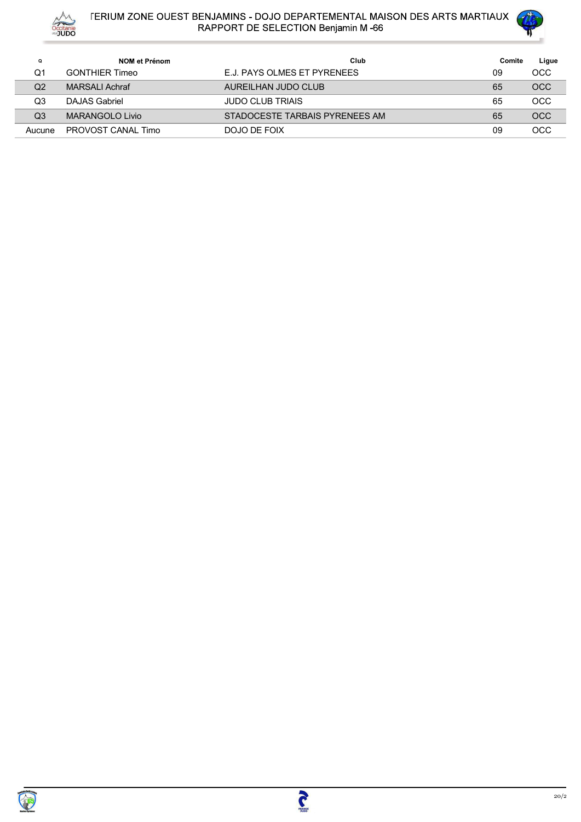



| Q      | NOM et Prénom         | Club                           | Comite | Ligue      |
|--------|-----------------------|--------------------------------|--------|------------|
| Q1     | <b>GONTHIER Timeo</b> | F.J. PAYS OLMES FT PYRENEES    | 09     | осс        |
| Q2     | <b>MARSALI Achraf</b> | AUREILHAN JUDO CLUB            | 65     | <b>OCC</b> |
| Q3     | DAJAS Gabriel         | <b>JUDO CLUB TRIAIS</b>        | 65     | <b>OCC</b> |
| Q3     | MARANGOLO Livio       | STADOCESTE TARBAIS PYRENEES AM | 65     | <b>OCC</b> |
| Aucune | PROVOST CANAL Timo    | DOJO DE FOIX                   | 09     | <b>OCC</b> |